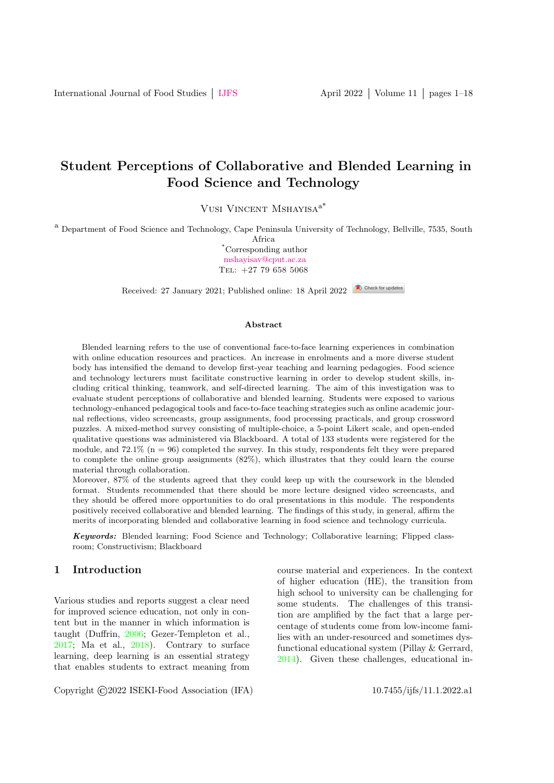# Student Perceptions of Collaborative and Blended Learning in Food Science and Technology

Vusi Vincent Mshayisaa\*

<sup>a</sup> Department of Food Science and Technology, Cape Peninsula University of Technology, Bellville, 7535, South

Africa \*Corresponding author [mshayisav@cput.ac.za](mailto: mshayisav@cput.ac.za) Tel: +27 79 658 5068

Received: 27 January 2021; Published online: 18 April 2022 **O** Check for updates

#### Abstract

Blended learning refers to the use of conventional face-to-face learning experiences in combination with online education resources and practices. An increase in enrolments and a more diverse student body has intensified the demand to develop first-year teaching and learning pedagogies. Food science and technology lecturers must facilitate constructive learning in order to develop student skills, including critical thinking, teamwork, and self-directed learning. The aim of this investigation was to evaluate student perceptions of collaborative and blended learning. Students were exposed to various technology-enhanced pedagogical tools and face-to-face teaching strategies such as online academic journal reflections, video screencasts, group assignments, food processing practicals, and group crossword puzzles. A mixed-method survey consisting of multiple-choice, a 5-point Likert scale, and open-ended qualitative questions was administered via Blackboard. A total of 133 students were registered for the module, and  $72.1\%$  (n = 96) completed the survey. In this study, respondents felt they were prepared to complete the online group assignments (82%), which illustrates that they could learn the course material through collaboration.

Moreover, 87% of the students agreed that they could keep up with the coursework in the blended format. Students recommended that there should be more lecture designed video screencasts, and they should be offered more opportunities to do oral presentations in this module. The respondents positively received collaborative and blended learning. The findings of this study, in general, affirm the merits of incorporating blended and collaborative learning in food science and technology curricula.

Keywords: Blended learning; Food Science and Technology; Collaborative learning; Flipped classroom; Constructivism; Blackboard

#### 1 Introduction

Various studies and reports suggest a clear need for improved science education, not only in content but in the manner in which information is taught (Duffrin, [2006;](#page-14-0) Gezer-Templeton et al., [2017;](#page-14-1) Ma et al., [2018\)](#page-15-0). Contrary to surface learning, deep learning is an essential strategy that enables students to extract meaning from course material and experiences. In the context of higher education (HE), the transition from high school to university can be challenging for some students. The challenges of this transition are amplified by the fact that a large percentage of students come from low-income families with an under-resourced and sometimes dysfunctional educational system (Pillay & Gerrard, [2014\)](#page-16-0). Given these challenges, educational in-

Copyright  $\odot$ 2022 ISEKI-Food Association (IFA) 10.7455/ijfs/11.1.2022.a1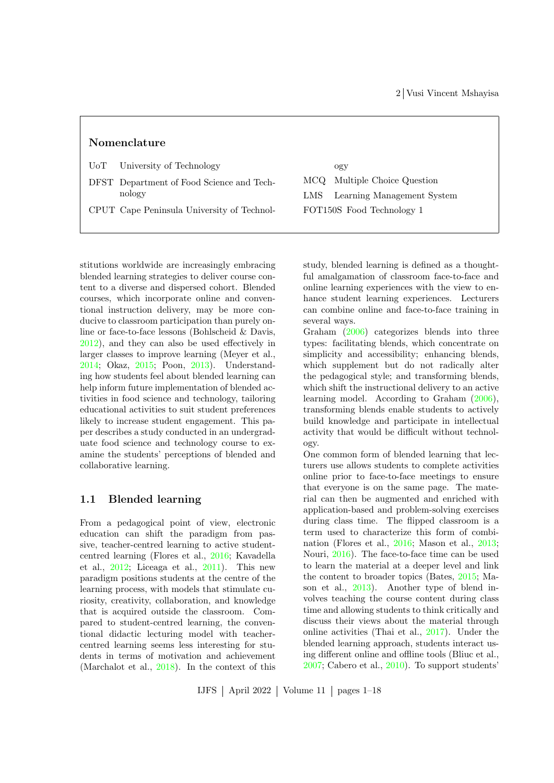#### Nomenclature

| UoT | University of Technology |  |
|-----|--------------------------|--|
|     |                          |  |

- DFST Department of Food Science and Technology
- CPUT Cape Peninsula University of Technol-

ogy MCQ Multiple Choice Question LMS Learning Management System FOT150S Food Technology 1

stitutions worldwide are increasingly embracing blended learning strategies to deliver course content to a diverse and dispersed cohort. Blended courses, which incorporate online and conventional instruction delivery, may be more conducive to classroom participation than purely online or face-to-face lessons (Bohlscheid & Davis, [2012\)](#page-14-2), and they can also be used effectively in larger classes to improve learning (Meyer et al., [2014;](#page-16-1) Okaz, [2015;](#page-16-2) Poon, [2013\)](#page-16-3). Understanding how students feel about blended learning can help inform future implementation of blended activities in food science and technology, tailoring educational activities to suit student preferences likely to increase student engagement. This paper describes a study conducted in an undergraduate food science and technology course to examine the students' perceptions of blended and collaborative learning.

## 1.1 Blended learning

From a pedagogical point of view, electronic education can shift the paradigm from passive, teacher-centred learning to active studentcentred learning (Flores et al., [2016;](#page-14-3) Kavadella et al., [2012;](#page-15-1) Liceaga et al., [2011\)](#page-15-2). This new paradigm positions students at the centre of the learning process, with models that stimulate curiosity, creativity, collaboration, and knowledge that is acquired outside the classroom. Compared to student-centred learning, the conventional didactic lecturing model with teachercentred learning seems less interesting for students in terms of motivation and achievement (Marchalot et al., [2018\)](#page-15-3). In the context of this

study, blended learning is defined as a thoughtful amalgamation of classroom face-to-face and online learning experiences with the view to enhance student learning experiences. Lecturers can combine online and face-to-face training in several ways.

Graham [\(2006\)](#page-14-4) categorizes blends into three types: facilitating blends, which concentrate on simplicity and accessibility; enhancing blends, which supplement but do not radically alter the pedagogical style; and transforming blends, which shift the instructional delivery to an active learning model. According to Graham [\(2006\)](#page-14-4), transforming blends enable students to actively build knowledge and participate in intellectual activity that would be difficult without technology.

One common form of blended learning that lecturers use allows students to complete activities online prior to face-to-face meetings to ensure that everyone is on the same page. The material can then be augmented and enriched with application-based and problem-solving exercises during class time. The flipped classroom is a term used to characterize this form of combination (Flores et al., [2016;](#page-14-3) Mason et al., [2013;](#page-16-4) Nouri, [2016\)](#page-16-5). The face-to-face time can be used to learn the material at a deeper level and link the content to broader topics (Bates, [2015;](#page-14-5) Mason et al., [2013\)](#page-16-4). Another type of blend involves teaching the course content during class time and allowing students to think critically and discuss their views about the material through online activities (Thai et al., [2017\)](#page-17-0). Under the blended learning approach, students interact using different online and offline tools (Bliuc et al., [2007;](#page-14-6) Cabero et al., [2010\)](#page-14-7). To support students'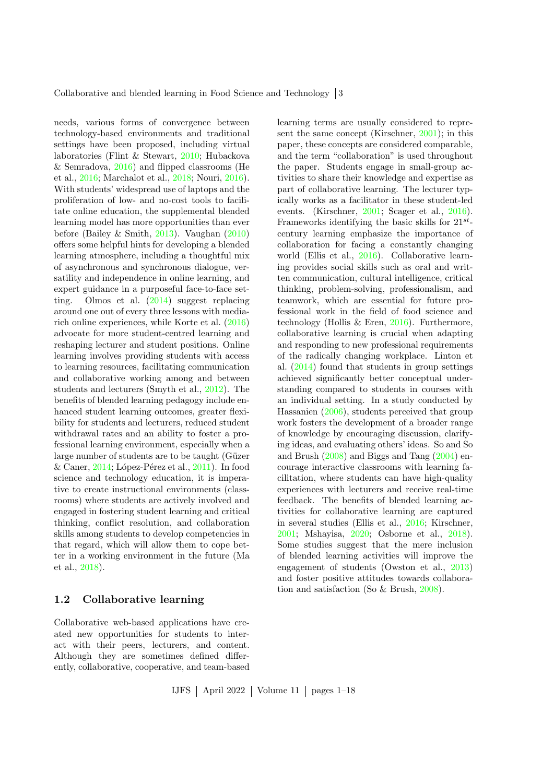needs, various forms of convergence between technology-based environments and traditional settings have been proposed, including virtual laboratories (Flint & Stewart, [2010;](#page-14-8) Hubackova & Semradova, [2016\)](#page-15-4) and flipped classrooms (He et al., [2016;](#page-15-5) Marchalot et al., [2018;](#page-15-3) Nouri, [2016\)](#page-16-5). With students' widespread use of laptops and the proliferation of low- and no-cost tools to facilitate online education, the supplemental blended learning model has more opportunities than ever before (Bailey & Smith, [2013\)](#page-13-0). Vaughan [\(2010\)](#page-17-1) offers some helpful hints for developing a blended learning atmosphere, including a thoughtful mix of asynchronous and synchronous dialogue, versatility and independence in online learning, and expert guidance in a purposeful face-to-face setting. Olmos et al. [\(2014\)](#page-16-6) suggest replacing around one out of every three lessons with mediarich online experiences, while Korte et al. [\(2016\)](#page-15-6) advocate for more student-centred learning and reshaping lecturer and student positions. Online learning involves providing students with access to learning resources, facilitating communication and collaborative working among and between students and lecturers (Smyth et al., [2012\)](#page-17-2). The benefits of blended learning pedagogy include enhanced student learning outcomes, greater flexibility for students and lecturers, reduced student withdrawal rates and an ability to foster a professional learning environment, especially when a large number of students are to be taught (Güzer & Caner,  $2014$ ; López-Pérez et al.,  $2011$ ). In food science and technology education, it is imperative to create instructional environments (classrooms) where students are actively involved and engaged in fostering student learning and critical thinking, conflict resolution, and collaboration skills among students to develop competencies in that regard, which will allow them to cope better in a working environment in the future (Ma et al., [2018\)](#page-15-0).

#### 1.2 Collaborative learning

Collaborative web-based applications have created new opportunities for students to interact with their peers, lecturers, and content. Although they are sometimes defined differently, collaborative, cooperative, and team-based learning terms are usually considered to represent the same concept (Kirschner, [2001\)](#page-15-9); in this paper, these concepts are considered comparable, and the term "collaboration" is used throughout the paper. Students engage in small-group activities to share their knowledge and expertise as part of collaborative learning. The lecturer typically works as a facilitator in these student-led events. (Kirschner, [2001;](#page-15-9) Scager et al., [2016\)](#page-16-7). Frameworks identifying the basic skills for  $21^{st}$ century learning emphasize the importance of collaboration for facing a constantly changing world (Ellis et al., [2016\)](#page-14-9). Collaborative learning provides social skills such as oral and written communication, cultural intelligence, critical thinking, problem-solving, professionalism, and teamwork, which are essential for future professional work in the field of food science and technology (Hollis & Eren, [2016\)](#page-15-10). Furthermore, collaborative learning is crucial when adapting and responding to new professional requirements of the radically changing workplace. Linton et al. [\(2014\)](#page-15-11) found that students in group settings achieved significantly better conceptual understanding compared to students in courses with an individual setting. In a study conducted by Hassanien [\(2006\)](#page-15-12), students perceived that group work fosters the development of a broader range of knowledge by encouraging discussion, clarifying ideas, and evaluating others' ideas. So and So and Brush [\(2008\)](#page-17-3) and Biggs and Tang [\(2004\)](#page-14-10) encourage interactive classrooms with learning facilitation, where students can have high-quality experiences with lecturers and receive real-time feedback. The benefits of blended learning activities for collaborative learning are captured in several studies (Ellis et al., [2016;](#page-14-9) Kirschner, [2001;](#page-15-9) Mshayisa, [2020;](#page-16-8) Osborne et al., [2018\)](#page-16-9). Some studies suggest that the mere inclusion of blended learning activities will improve the engagement of students (Owston et al., [2013\)](#page-16-10) and foster positive attitudes towards collaboration and satisfaction (So & Brush, [2008\)](#page-17-3).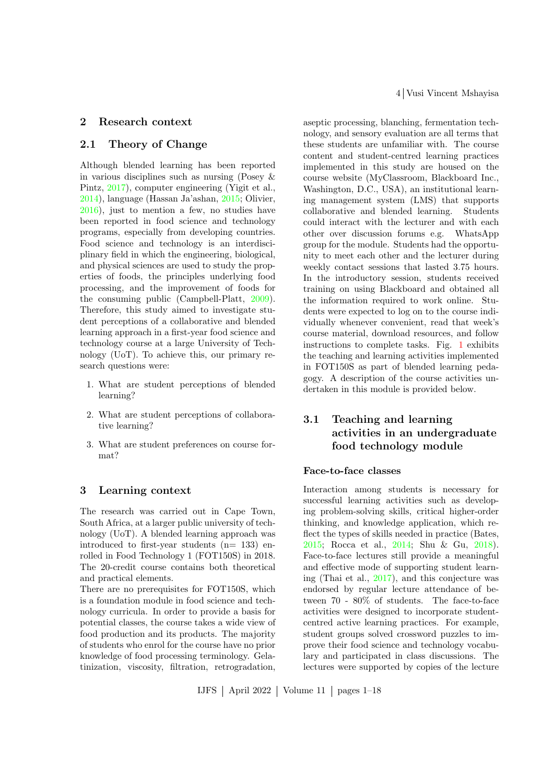#### 2 Research context

## 2.1 Theory of Change

Although blended learning has been reported in various disciplines such as nursing (Posey & Pintz, [2017\)](#page-16-11), computer engineering (Yigit et al., [2014\)](#page-17-4), language (Hassan Ja'ashan, [2015;](#page-15-13) Olivier, [2016\)](#page-16-12), just to mention a few, no studies have been reported in food science and technology programs, especially from developing countries. Food science and technology is an interdisciplinary field in which the engineering, biological, and physical sciences are used to study the properties of foods, the principles underlying food processing, and the improvement of foods for the consuming public (Campbell-Platt, [2009\)](#page-14-11). Therefore, this study aimed to investigate student perceptions of a collaborative and blended learning approach in a first-year food science and technology course at a large University of Technology (UoT). To achieve this, our primary research questions were:

- 1. What are student perceptions of blended learning?
- 2. What are student perceptions of collaborative learning?
- 3. What are student preferences on course format?

#### 3 Learning context

The research was carried out in Cape Town, South Africa, at a larger public university of technology (UoT). A blended learning approach was introduced to first-year students  $(n= 133)$  enrolled in Food Technology 1 (FOT150S) in 2018. The 20-credit course contains both theoretical and practical elements.

There are no prerequisites for FOT150S, which is a foundation module in food science and technology curricula. In order to provide a basis for potential classes, the course takes a wide view of food production and its products. The majority of students who enrol for the course have no prior knowledge of food processing terminology. Gelatinization, viscosity, filtration, retrogradation,

aseptic processing, blanching, fermentation technology, and sensory evaluation are all terms that these students are unfamiliar with. The course content and student-centred learning practices implemented in this study are housed on the course website (MyClassroom, Blackboard Inc., Washington, D.C., USA), an institutional learning management system (LMS) that supports collaborative and blended learning. Students could interact with the lecturer and with each other over discussion forums e.g. WhatsApp group for the module. Students had the opportunity to meet each other and the lecturer during weekly contact sessions that lasted 3.75 hours. In the introductory session, students received training on using Blackboard and obtained all the information required to work online. Students were expected to log on to the course individually whenever convenient, read that week's course material, download resources, and follow instructions to complete tasks. Fig. [1](#page-4-0) exhibits the teaching and learning activities implemented in FOT150S as part of blended learning pedagogy. A description of the course activities undertaken in this module is provided below.

## 3.1 Teaching and learning activities in an undergraduate food technology module

#### Face-to-face classes

Interaction among students is necessary for successful learning activities such as developing problem-solving skills, critical higher-order thinking, and knowledge application, which reflect the types of skills needed in practice (Bates, [2015;](#page-14-5) Rocca et al., [2014;](#page-16-13) Shu & Gu, [2018\)](#page-16-14). Face-to-face lectures still provide a meaningful and effective mode of supporting student learning (Thai et al., [2017\)](#page-17-0), and this conjecture was endorsed by regular lecture attendance of between 70 - 80% of students. The face-to-face activities were designed to incorporate studentcentred active learning practices. For example, student groups solved crossword puzzles to improve their food science and technology vocabulary and participated in class discussions. The lectures were supported by copies of the lecture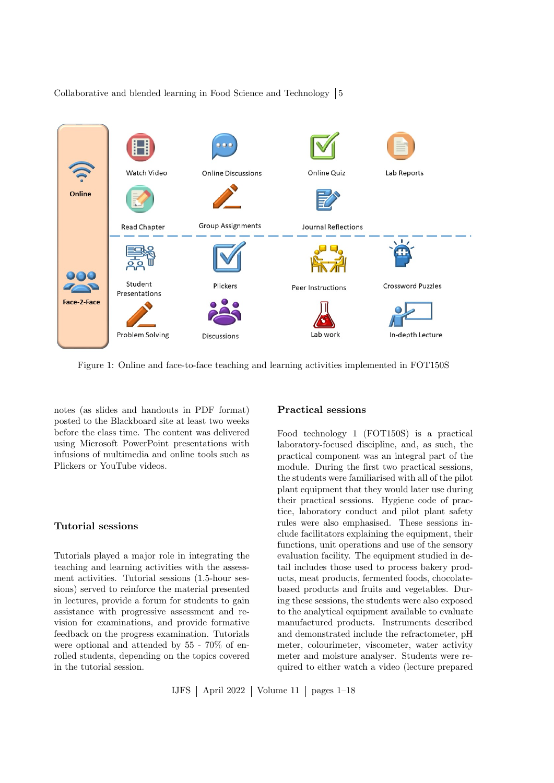

Collaborative and blended learning in Food Science and Technology  $\vert 5 \rangle$ 

<span id="page-4-0"></span>Figure 1: Online and face-to-face teaching and learning activities implemented in FOT150S

notes (as slides and handouts in PDF format) posted to the Blackboard site at least two weeks before the class time. The content was delivered using Microsoft PowerPoint presentations with infusions of multimedia and online tools such as Plickers or YouTube videos.

#### Tutorial sessions

Tutorials played a major role in integrating the teaching and learning activities with the assessment activities. Tutorial sessions (1.5-hour sessions) served to reinforce the material presented in lectures, provide a forum for students to gain assistance with progressive assessment and revision for examinations, and provide formative feedback on the progress examination. Tutorials were optional and attended by 55 - 70% of enrolled students, depending on the topics covered in the tutorial session.

#### Practical sessions

Food technology 1 (FOT150S) is a practical laboratory-focused discipline, and, as such, the practical component was an integral part of the module. During the first two practical sessions, the students were familiarised with all of the pilot plant equipment that they would later use during their practical sessions. Hygiene code of practice, laboratory conduct and pilot plant safety rules were also emphasised. These sessions include facilitators explaining the equipment, their functions, unit operations and use of the sensory evaluation facility. The equipment studied in detail includes those used to process bakery products, meat products, fermented foods, chocolatebased products and fruits and vegetables. During these sessions, the students were also exposed to the analytical equipment available to evaluate manufactured products. Instruments described and demonstrated include the refractometer, pH meter, colourimeter, viscometer, water activity meter and moisture analyser. Students were required to either watch a video (lecture prepared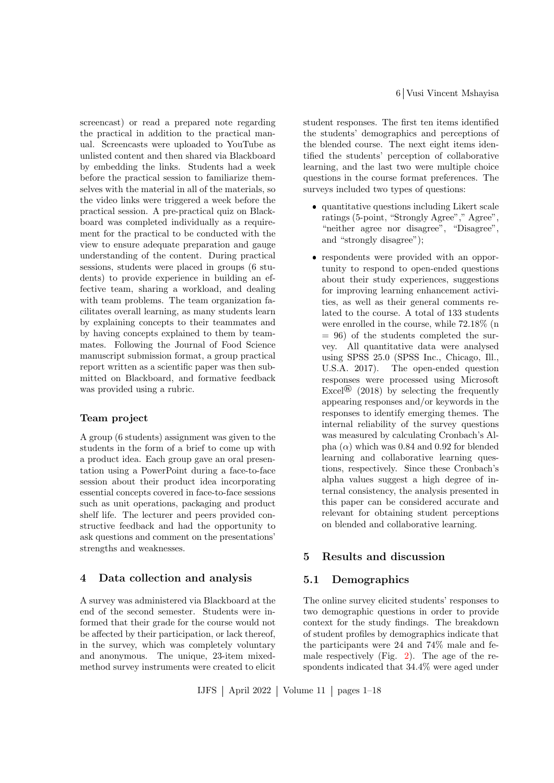screencast) or read a prepared note regarding the practical in addition to the practical manual. Screencasts were uploaded to YouTube as unlisted content and then shared via Blackboard by embedding the links. Students had a week before the practical session to familiarize themselves with the material in all of the materials, so the video links were triggered a week before the practical session. A pre-practical quiz on Blackboard was completed individually as a requirement for the practical to be conducted with the view to ensure adequate preparation and gauge understanding of the content. During practical sessions, students were placed in groups (6 students) to provide experience in building an effective team, sharing a workload, and dealing with team problems. The team organization facilitates overall learning, as many students learn by explaining concepts to their teammates and by having concepts explained to them by teammates. Following the Journal of Food Science manuscript submission format, a group practical report written as a scientific paper was then submitted on Blackboard, and formative feedback was provided using a rubric.

## Team project

A group (6 students) assignment was given to the students in the form of a brief to come up with a product idea. Each group gave an oral presentation using a PowerPoint during a face-to-face session about their product idea incorporating essential concepts covered in face-to-face sessions such as unit operations, packaging and product shelf life. The lecturer and peers provided constructive feedback and had the opportunity to ask questions and comment on the presentations' strengths and weaknesses.

#### 4 Data collection and analysis

A survey was administered via Blackboard at the end of the second semester. Students were informed that their grade for the course would not be affected by their participation, or lack thereof, in the survey, which was completely voluntary and anonymous. The unique, 23-item mixedmethod survey instruments were created to elicit student responses. The first ten items identified the students' demographics and perceptions of the blended course. The next eight items identified the students' perception of collaborative learning, and the last two were multiple choice questions in the course format preferences. The surveys included two types of questions:

- quantitative questions including Likert scale ratings (5-point, "Strongly Agree"," Agree", "neither agree nor disagree", "Disagree", and "strongly disagree");
- respondents were provided with an opportunity to respond to open-ended questions about their study experiences, suggestions for improving learning enhancement activities, as well as their general comments related to the course. A total of 133 students were enrolled in the course, while 72.18% (n  $= 96$ ) of the students completed the survey. All quantitative data were analysed using SPSS 25.0 (SPSS Inc., Chicago, Ill., U.S.A. 2017). The open-ended question responses were processed using Microsoft Excel<sup>®</sup> (2018) by selecting the frequently appearing responses and/or keywords in the responses to identify emerging themes. The internal reliability of the survey questions was measured by calculating Cronbach's Alpha  $(\alpha)$  which was 0.84 and 0.92 for blended learning and collaborative learning questions, respectively. Since these Cronbach's alpha values suggest a high degree of internal consistency, the analysis presented in this paper can be considered accurate and relevant for obtaining student perceptions on blended and collaborative learning.

## 5 Results and discussion

## 5.1 Demographics

The online survey elicited students' responses to two demographic questions in order to provide context for the study findings. The breakdown of student profiles by demographics indicate that the participants were 24 and 74% male and female respectively (Fig. [2\)](#page-6-0). The age of the respondents indicated that 34.4% were aged under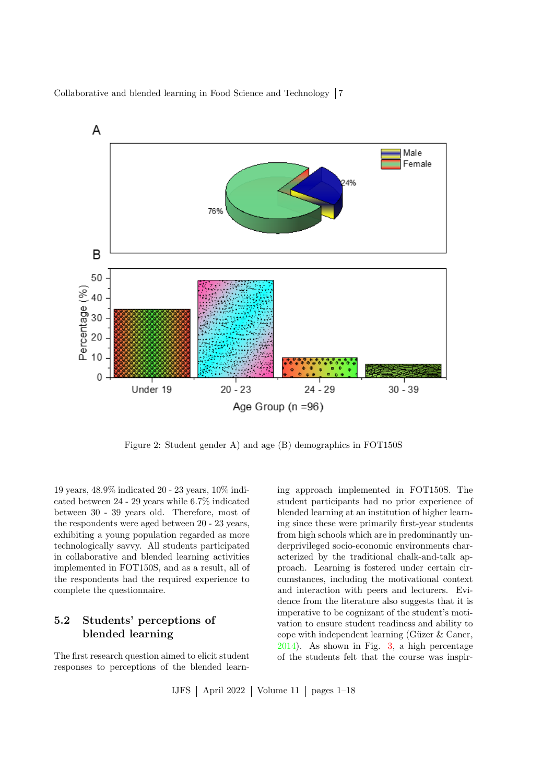

<span id="page-6-0"></span>Figure 2: Student gender A) and age (B) demographics in FOT150S

19 years, 48.9% indicated 20 - 23 years, 10% indicated between 24 - 29 years while 6.7% indicated between 30 - 39 years old. Therefore, most of the respondents were aged between 20 - 23 years, exhibiting a young population regarded as more technologically savvy. All students participated in collaborative and blended learning activities implemented in FOT150S, and as a result, all of the respondents had the required experience to complete the questionnaire.

## 5.2 Students' perceptions of blended learning

The first research question aimed to elicit student responses to perceptions of the blended learning approach implemented in FOT150S. The student participants had no prior experience of blended learning at an institution of higher learning since these were primarily first-year students from high schools which are in predominantly underprivileged socio-economic environments characterized by the traditional chalk-and-talk approach. Learning is fostered under certain circumstances, including the motivational context and interaction with peers and lecturers. Evidence from the literature also suggests that it is imperative to be cognizant of the student's motivation to ensure student readiness and ability to cope with independent learning (Güzer  $&$  Caner, [2014\)](#page-15-7). As shown in Fig. [3,](#page-7-0) a high percentage of the students felt that the course was inspir-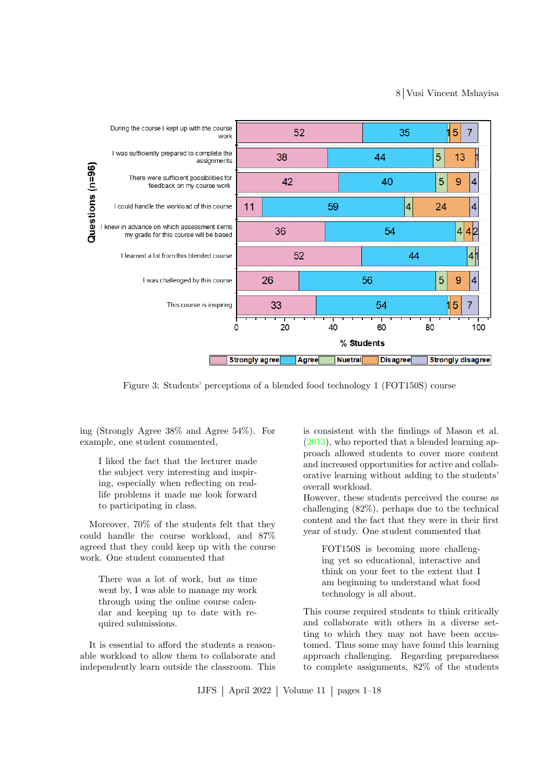8 Vusi Vincent Mshayisa



<span id="page-7-0"></span>Figure 3: Students' perceptions of a blended food technology 1 (FOT150S) course

ing (Strongly Agree 38% and Agree 54%). For example, one student commented,

I liked the fact that the lecturer made the subject very interesting and inspiring, especially when reflecting on reallife problems it made me look forward to participating in class.

Moreover, 70% of the students felt that they could handle the course workload, and 87% agreed that they could keep up with the course work. One student commented that

There was a lot of work, but as time went by, I was able to manage my work through using the online course calendar and keeping up to date with required submissions.

It is essential to afford the students a reasonable workload to allow them to collaborate and independently learn outside the classroom. This

is consistent with the findings of Mason et al. [\(2013\)](#page-16-4), who reported that a blended learning approach allowed students to cover more content and increased opportunities for active and collaborative learning without adding to the students' overall workload.

However, these students perceived the course as challenging  $(82\%)$ , perhaps due to the technical content and the fact that they were in their first year of study. One student commented that

FOT150S is becoming more challenging yet so educational, interactive and think on your feet to the extent that I am beginning to understand what food technology is all about.

This course required students to think critically and collaborate with others in a diverse setting to which they may not have been accustomed. Thus some may have found this learning approach challenging. Regarding preparedness to complete assignments, 82% of the students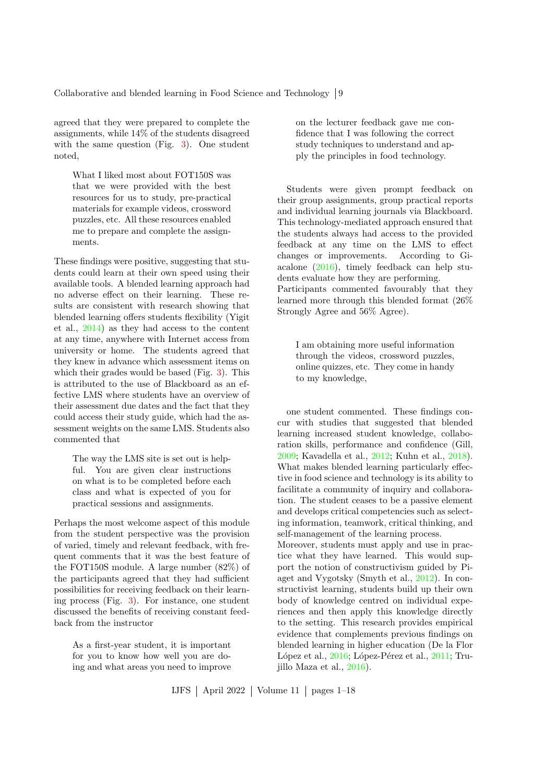agreed that they were prepared to complete the assignments, while 14% of the students disagreed with the same question (Fig. [3\)](#page-7-0). One student noted,

What I liked most about FOT150S was that we were provided with the best resources for us to study, pre-practical materials for example videos, crossword puzzles, etc. All these resources enabled me to prepare and complete the assignments.

These findings were positive, suggesting that students could learn at their own speed using their available tools. A blended learning approach had no adverse effect on their learning. These results are consistent with research showing that blended learning offers students flexibility (Yigit et al., [2014\)](#page-17-4) as they had access to the content at any time, anywhere with Internet access from university or home. The students agreed that they knew in advance which assessment items on which their grades would be based (Fig. [3\)](#page-7-0). This is attributed to the use of Blackboard as an effective LMS where students have an overview of their assessment due dates and the fact that they could access their study guide, which had the assessment weights on the same LMS. Students also commented that

The way the LMS site is set out is helpful. You are given clear instructions on what is to be completed before each class and what is expected of you for practical sessions and assignments.

Perhaps the most welcome aspect of this module from the student perspective was the provision of varied, timely and relevant feedback, with frequent comments that it was the best feature of the FOT150S module. A large number (82%) of the participants agreed that they had sufficient possibilities for receiving feedback on their learning process (Fig. [3\)](#page-7-0). For instance, one student discussed the benefits of receiving constant feedback from the instructor

As a first-year student, it is important for you to know how well you are doing and what areas you need to improve on the lecturer feedback gave me confidence that I was following the correct study techniques to understand and apply the principles in food technology.

Students were given prompt feedback on their group assignments, group practical reports and individual learning journals via Blackboard. This technology-mediated approach ensured that the students always had access to the provided feedback at any time on the LMS to effect changes or improvements. According to Giacalone [\(2016\)](#page-14-12), timely feedback can help students evaluate how they are performing. Participants commented favourably that they learned more through this blended format (26% Strongly Agree and 56% Agree).

I am obtaining more useful information through the videos, crossword puzzles, online quizzes, etc. They come in handy to my knowledge,

one student commented. These findings concur with studies that suggested that blended learning increased student knowledge, collaboration skills, performance and confidence (Gill, [2009;](#page-14-13) Kavadella et al., [2012;](#page-15-1) Kuhn et al., [2018\)](#page-15-14). What makes blended learning particularly effective in food science and technology is its ability to facilitate a community of inquiry and collaboration. The student ceases to be a passive element and develops critical competencies such as selecting information, teamwork, critical thinking, and self-management of the learning process.

Moreover, students must apply and use in practice what they have learned. This would support the notion of constructivism guided by Piaget and Vygotsky (Smyth et al., [2012\)](#page-17-2). In constructivist learning, students build up their own body of knowledge centred on individual experiences and then apply this knowledge directly to the setting. This research provides empirical evidence that complements previous findings on blended learning in higher education (De la Flor López et al.,  $2016$ ; López-Pérez et al.,  $2011$ ; Trujillo Maza et al., [2016\)](#page-17-5).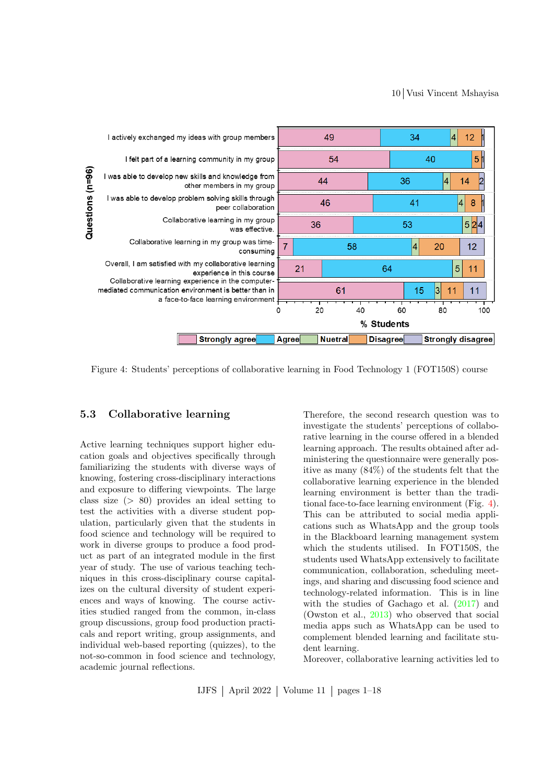

<span id="page-9-0"></span>Figure 4: Students' perceptions of collaborative learning in Food Technology 1 (FOT150S) course

## 5.3 Collaborative learning

Active learning techniques support higher education goals and objectives specifically through familiarizing the students with diverse ways of knowing, fostering cross-disciplinary interactions and exposure to differing viewpoints. The large class size (> 80) provides an ideal setting to test the activities with a diverse student population, particularly given that the students in food science and technology will be required to work in diverse groups to produce a food product as part of an integrated module in the first year of study. The use of various teaching techniques in this cross-disciplinary course capitalizes on the cultural diversity of student experiences and ways of knowing. The course activities studied ranged from the common, in-class group discussions, group food production practicals and report writing, group assignments, and individual web-based reporting (quizzes), to the not-so-common in food science and technology, academic journal reflections.

Therefore, the second research question was to investigate the students' perceptions of collaborative learning in the course offered in a blended learning approach. The results obtained after administering the questionnaire were generally positive as many (84%) of the students felt that the collaborative learning experience in the blended learning environment is better than the traditional face-to-face learning environment (Fig. [4\)](#page-9-0). This can be attributed to social media applications such as WhatsApp and the group tools in the Blackboard learning management system which the students utilised. In FOT150S, the students used WhatsApp extensively to facilitate communication, collaboration, scheduling meetings, and sharing and discussing food science and technology-related information. This is in line with the studies of Gachago et al.  $(2017)$  and (Owston et al., [2013\)](#page-16-10) who observed that social media apps such as WhatsApp can be used to complement blended learning and facilitate student learning.

Moreover, collaborative learning activities led to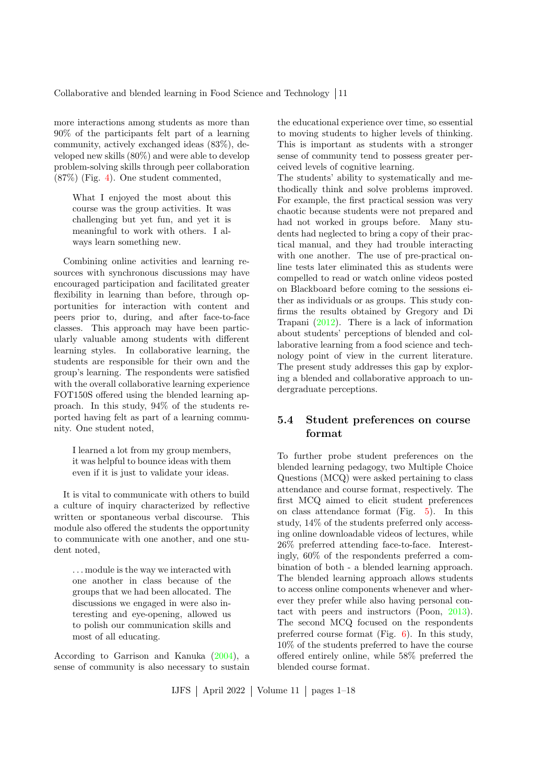more interactions among students as more than 90% of the participants felt part of a learning community, actively exchanged ideas (83%), developed new skills (80%) and were able to develop problem-solving skills through peer collaboration (87%) (Fig. [4\)](#page-9-0). One student commented,

What I enjoyed the most about this course was the group activities. It was challenging but yet fun, and yet it is meaningful to work with others. I always learn something new.

Combining online activities and learning resources with synchronous discussions may have encouraged participation and facilitated greater flexibility in learning than before, through opportunities for interaction with content and peers prior to, during, and after face-to-face classes. This approach may have been particularly valuable among students with different learning styles. In collaborative learning, the students are responsible for their own and the group's learning. The respondents were satisfied with the overall collaborative learning experience FOT150S offered using the blended learning approach. In this study, 94% of the students reported having felt as part of a learning community. One student noted,

I learned a lot from my group members, it was helpful to bounce ideas with them even if it is just to validate your ideas.

It is vital to communicate with others to build a culture of inquiry characterized by reflective written or spontaneous verbal discourse. This module also offered the students the opportunity to communicate with one another, and one student noted,

. . . module is the way we interacted with one another in class because of the groups that we had been allocated. The discussions we engaged in were also interesting and eye-opening, allowed us to polish our communication skills and most of all educating.

According to Garrison and Kanuka [\(2004\)](#page-14-16), a sense of community is also necessary to sustain

the educational experience over time, so essential to moving students to higher levels of thinking. This is important as students with a stronger sense of community tend to possess greater perceived levels of cognitive learning.

The students' ability to systematically and methodically think and solve problems improved. For example, the first practical session was very chaotic because students were not prepared and had not worked in groups before. Many students had neglected to bring a copy of their practical manual, and they had trouble interacting with one another. The use of pre-practical online tests later eliminated this as students were compelled to read or watch online videos posted on Blackboard before coming to the sessions either as individuals or as groups. This study confirms the results obtained by Gregory and Di Trapani [\(2012\)](#page-15-15). There is a lack of information about students' perceptions of blended and collaborative learning from a food science and technology point of view in the current literature. The present study addresses this gap by exploring a blended and collaborative approach to undergraduate perceptions.

## 5.4 Student preferences on course format

To further probe student preferences on the blended learning pedagogy, two Multiple Choice Questions (MCQ) were asked pertaining to class attendance and course format, respectively. The first MCQ aimed to elicit student preferences on class attendance format (Fig. [5\)](#page-11-0). In this study, 14% of the students preferred only accessing online downloadable videos of lectures, while 26% preferred attending face-to-face. Interestingly, 60% of the respondents preferred a combination of both - a blended learning approach. The blended learning approach allows students to access online components whenever and wherever they prefer while also having personal contact with peers and instructors (Poon, [2013\)](#page-16-3). The second MCQ focused on the respondents preferred course format (Fig. [6\)](#page-11-1). In this study, 10% of the students preferred to have the course offered entirely online, while 58% preferred the blended course format.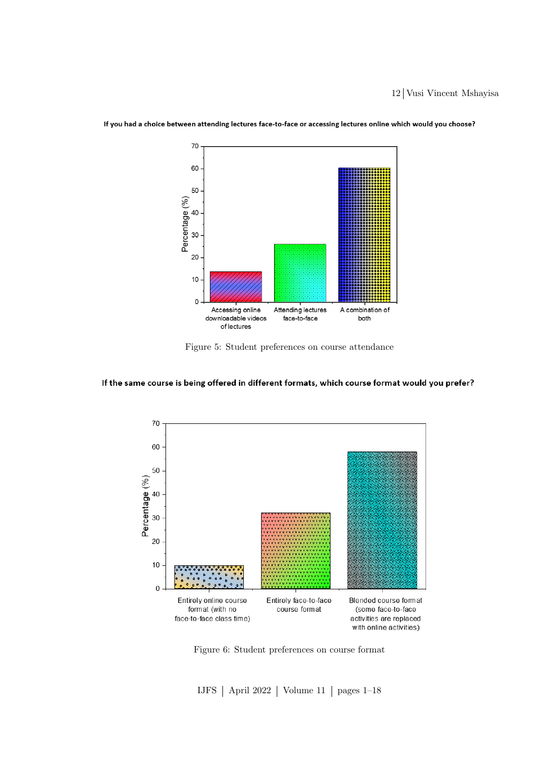12 Vusi Vincent Mshayisa



If you had a choice between attending lectures face-to-face or accessing lectures online which would you choose?

<span id="page-11-0"></span>Figure 5: Student preferences on course attendance

### If the same course is being offered in different formats, which course format would you prefer?



<span id="page-11-1"></span>Figure 6: Student preferences on course format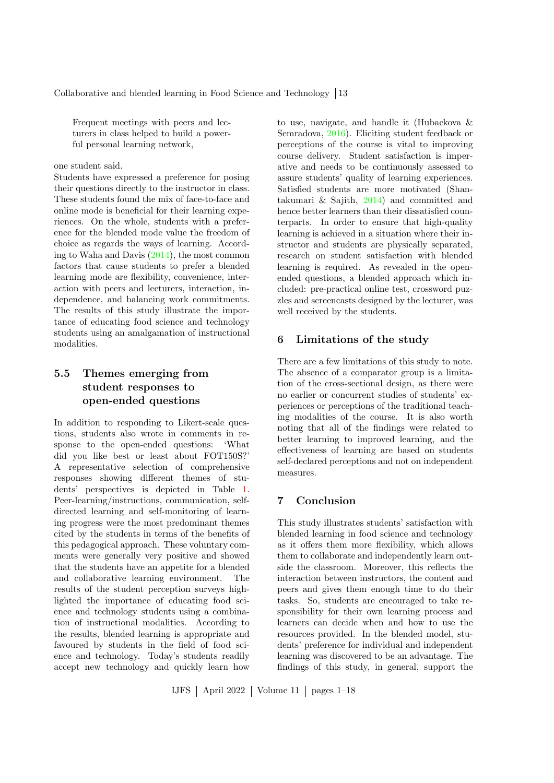Frequent meetings with peers and lecturers in class helped to build a powerful personal learning network,

#### one student said.

Students have expressed a preference for posing their questions directly to the instructor in class. These students found the mix of face-to-face and online mode is beneficial for their learning experiences. On the whole, students with a preference for the blended mode value the freedom of choice as regards the ways of learning. According to Waha and Davis [\(2014\)](#page-17-6), the most common factors that cause students to prefer a blended learning mode are flexibility, convenience, interaction with peers and lecturers, interaction, independence, and balancing work commitments. The results of this study illustrate the importance of educating food science and technology students using an amalgamation of instructional modalities.

## 5.5 Themes emerging from student responses to open-ended questions

In addition to responding to Likert-scale questions, students also wrote in comments in response to the open-ended questions: 'What did you like best or least about FOT150S?' A representative selection of comprehensive responses showing different themes of students' perspectives is depicted in Table [1.](#page-13-1) Peer-learning/instructions, communication, selfdirected learning and self-monitoring of learning progress were the most predominant themes cited by the students in terms of the benefits of this pedagogical approach. These voluntary comments were generally very positive and showed that the students have an appetite for a blended and collaborative learning environment. The results of the student perception surveys highlighted the importance of educating food science and technology students using a combination of instructional modalities. According to the results, blended learning is appropriate and favoured by students in the field of food science and technology. Today's students readily accept new technology and quickly learn how

to use, navigate, and handle it (Hubackova & Semradova, [2016\)](#page-15-4). Eliciting student feedback or perceptions of the course is vital to improving course delivery. Student satisfaction is imperative and needs to be continuously assessed to assure students' quality of learning experiences. Satisfied students are more motivated (Shantakumari & Sajith, [2014\)](#page-16-15) and committed and hence better learners than their dissatisfied counterparts. In order to ensure that high-quality learning is achieved in a situation where their instructor and students are physically separated, research on student satisfaction with blended learning is required. As revealed in the openended questions, a blended approach which included: pre-practical online test, crossword puzzles and screencasts designed by the lecturer, was well received by the students.

## 6 Limitations of the study

There are a few limitations of this study to note. The absence of a comparator group is a limitation of the cross-sectional design, as there were no earlier or concurrent studies of students' experiences or perceptions of the traditional teaching modalities of the course. It is also worth noting that all of the findings were related to better learning to improved learning, and the effectiveness of learning are based on students self-declared perceptions and not on independent measures.

#### 7 Conclusion

This study illustrates students' satisfaction with blended learning in food science and technology as it offers them more flexibility, which allows them to collaborate and independently learn outside the classroom. Moreover, this reflects the interaction between instructors, the content and peers and gives them enough time to do their tasks. So, students are encouraged to take responsibility for their own learning process and learners can decide when and how to use the resources provided. In the blended model, students' preference for individual and independent learning was discovered to be an advantage. The findings of this study, in general, support the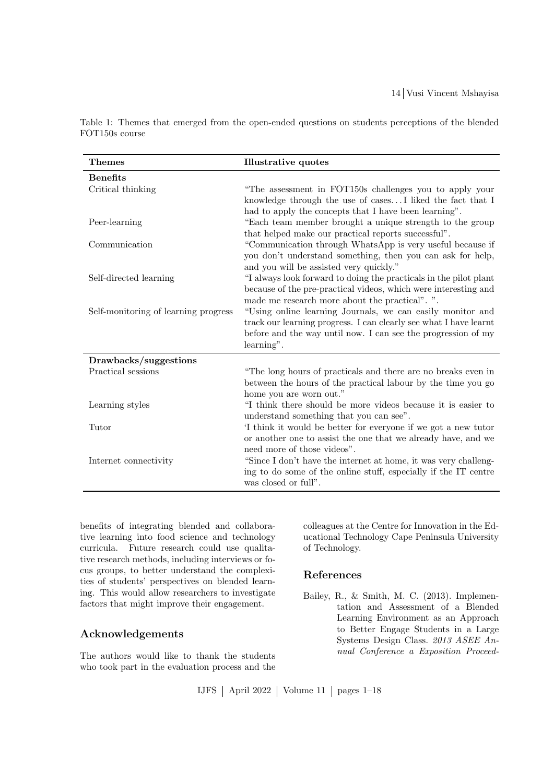| <b>Themes</b>                        | <b>Illustrative quotes</b>                                                                                                                                                                                     |  |  |
|--------------------------------------|----------------------------------------------------------------------------------------------------------------------------------------------------------------------------------------------------------------|--|--|
| <b>Benefits</b>                      |                                                                                                                                                                                                                |  |  |
| Critical thinking                    | "The assessment in FOT150s challenges you to apply your<br>knowledge through the use of cases I liked the fact that I<br>had to apply the concepts that I have been learning".                                 |  |  |
| Peer-learning                        | "Each team member brought a unique strength to the group<br>that helped make our practical reports successful".                                                                                                |  |  |
| Communication                        | "Communication through WhatsApp is very useful because if<br>you don't understand something, then you can ask for help,<br>and you will be assisted very quickly."                                             |  |  |
| Self-directed learning               | "I always look forward to doing the practicals in the pilot plant<br>because of the pre-practical videos, which were interesting and<br>made me research more about the practical". ".                         |  |  |
| Self-monitoring of learning progress | "Using online learning Journals, we can easily monitor and<br>track our learning progress. I can clearly see what I have learnt<br>before and the way until now. I can see the progression of my<br>learning". |  |  |
| Drawbacks/suggestions                |                                                                                                                                                                                                                |  |  |
| Practical sessions                   | "The long hours of practicals and there are no breaks even in<br>between the hours of the practical labour by the time you go<br>home you are worn out."                                                       |  |  |
| Learning styles                      | "I think there should be more videos because it is easier to<br>understand something that you can see".                                                                                                        |  |  |
| Tutor                                | If think it would be better for everyone if we got a new tutor<br>or another one to assist the one that we already have, and we<br>need more of those videos".                                                 |  |  |
| Internet connectivity                | "Since I don't have the internet at home, it was very challeng-<br>ing to do some of the online stuff, especially if the IT centre<br>was closed or full".                                                     |  |  |

<span id="page-13-1"></span>Table 1: Themes that emerged from the open-ended questions on students perceptions of the blended FOT150s course

benefits of integrating blended and collaborative learning into food science and technology curricula. Future research could use qualitative research methods, including interviews or focus groups, to better understand the complexities of students' perspectives on blended learning. This would allow researchers to investigate factors that might improve their engagement.

#### Acknowledgements

The authors would like to thank the students who took part in the evaluation process and the colleagues at the Centre for Innovation in the Educational Technology Cape Peninsula University of Technology.

## References

<span id="page-13-0"></span>Bailey, R., & Smith, M. C. (2013). Implementation and Assessment of a Blended Learning Environment as an Approach to Better Engage Students in a Large Systems Design Class. 2013 ASEE Annual Conference a Exposition Proceed-

IJFS April 2022 Volume 11 pages 1–18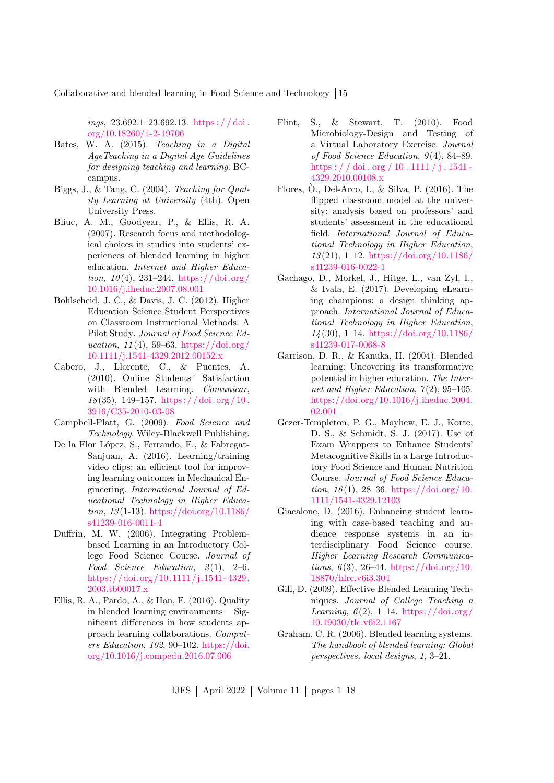ings,  $23.692.1 - 23.692.13$ . https://doi. [org/10.18260/1-2-19706](https://doi.org/10.18260/1-2-19706)

- <span id="page-14-5"></span>Bates, W. A. (2015). Teaching in a Digital AgeTeaching in a Digital Age Guidelines for designing teaching and learning. BCcampus.
- <span id="page-14-10"></span>Biggs, J., & Tang, C. (2004). Teaching for Quality Learning at University (4th). Open University Press.
- <span id="page-14-6"></span>Bliuc, A. M., Goodyear, P., & Ellis, R. A. (2007). Research focus and methodological choices in studies into students' experiences of blended learning in higher education. Internet and Higher Education,  $10(4)$ , 231–244. [https://doi.org/](https://doi.org/10.1016/j.iheduc.2007.08.001) [10.1016/j.iheduc.2007.08.001](https://doi.org/10.1016/j.iheduc.2007.08.001)
- <span id="page-14-2"></span>Bohlscheid, J. C., & Davis, J. C. (2012). Higher Education Science Student Perspectives on Classroom Instructional Methods: A Pilot Study. Journal of Food Science Education,  $11(4)$ , 59–63. [https://doi.org/](https://doi.org/10.1111/j.1541-4329.2012.00152.x) [10.1111/j.1541-4329.2012.00152.x](https://doi.org/10.1111/j.1541-4329.2012.00152.x)
- <span id="page-14-7"></span>Cabero, J., Llorente, C., & Puentes, A. (2010). Online Students´ Satisfaction with Blended Learning. Comunicar,  $18(35)$ , 149-157. https://doi.org/10. [3916/C35-2010-03-08](https://doi.org/10.3916/C35-2010-03-08)
- <span id="page-14-11"></span>Campbell-Platt, G. (2009). Food Science and Technology. Wiley-Blackwell Publishing.
- <span id="page-14-14"></span>De la Flor López, S., Ferrando, F., & Fabregat-Sanjuan, A. (2016). Learning/training video clips: an efficient tool for improving learning outcomes in Mechanical Engineering. International Journal of Educational Technology in Higher Education,  $13(1-13)$ . [https://doi.org/10.1186/](https://doi.org/10.1186/s41239-016-0011-4) [s41239-016-0011-4](https://doi.org/10.1186/s41239-016-0011-4)
- <span id="page-14-0"></span>Duffrin, M. W. (2006). Integrating Problembased Learning in an Introductory College Food Science Course. Journal of Food Science Education,  $2(1)$ , 2-6. https://doi.org/10.1111/j.1541-4329. [2003.tb00017.x](https://doi.org/10.1111/j.1541-4329.2003.tb00017.x)
- <span id="page-14-9"></span>Ellis, R. A., Pardo, A., & Han, F. (2016). Quality in blended learning environments – Significant differences in how students approach learning collaborations. Computers Education, 102, 90–102. [https://doi.](https://doi.org/10.1016/j.compedu.2016.07.006) [org/10.1016/j.compedu.2016.07.006](https://doi.org/10.1016/j.compedu.2016.07.006)
- <span id="page-14-8"></span>Flint, S., & Stewart, T. (2010). Food Microbiology-Design and Testing of a Virtual Laboratory Exercise. Journal of Food Science Education,  $9(4)$ , 84–89. [https : / / doi . org / 10 . 1111 / j . 1541 -](https://doi.org/10.1111/j.1541-4329.2010.00108.x) [4329.2010.00108.x](https://doi.org/10.1111/j.1541-4329.2010.00108.x)
- <span id="page-14-3"></span>Flores,  $\dot{O}$ ., Del-Arco, I., & Silva, P. (2016). The flipped classroom model at the university: analysis based on professors' and students' assessment in the educational field. International Journal of Educational Technology in Higher Education,  $13(21), 1-12.$  [https://doi.org/10.1186/](https://doi.org/10.1186/s41239-016-0022-1) [s41239-016-0022-1](https://doi.org/10.1186/s41239-016-0022-1)
- <span id="page-14-15"></span>Gachago, D., Morkel, J., Hitge, L., van Zyl, I., & Ivala, E. (2017). Developing eLearning champions: a design thinking approach. International Journal of Educational Technology in Higher Education,  $14(30)$ , 1–14. [https://doi.org/10.1186/](https://doi.org/10.1186/s41239-017-0068-8) [s41239-017-0068-8](https://doi.org/10.1186/s41239-017-0068-8)
- <span id="page-14-16"></span>Garrison, D. R., & Kanuka, H. (2004). Blended learning: Uncovering its transformative potential in higher education. The Internet and Higher Education,  $7(2)$ , 95-105. [https://doi.org/10.1016/j.iheduc.2004.](https://doi.org/10.1016/j.iheduc.2004.02.001) [02.001](https://doi.org/10.1016/j.iheduc.2004.02.001)
- <span id="page-14-1"></span>Gezer-Templeton, P. G., Mayhew, E. J., Korte, D. S., & Schmidt, S. J. (2017). Use of Exam Wrappers to Enhance Students' Metacognitive Skills in a Large Introductory Food Science and Human Nutrition Course. Journal of Food Science Education,  $16(1)$ , 28–36. [https://doi.org/10.](https://doi.org/10.1111/1541-4329.12103) [1111/1541-4329.12103](https://doi.org/10.1111/1541-4329.12103)
- <span id="page-14-12"></span>Giacalone, D. (2016). Enhancing student learning with case-based teaching and audience response systems in an interdisciplinary Food Science course. Higher Learning Research Communications,  $6(3)$ , 26–44. [https://doi.org/10.](https://doi.org/10.18870/hlrc.v6i3.304) [18870/hlrc.v6i3.304](https://doi.org/10.18870/hlrc.v6i3.304)
- <span id="page-14-13"></span>Gill, D. (2009). Effective Blended Learning Techniques. Journal of College Teaching a Learning,  $6(2)$ , 1–14. [https://doi.org/](https://doi.org/10.19030/tlc.v6i2.1167) [10.19030/tlc.v6i2.1167](https://doi.org/10.19030/tlc.v6i2.1167)
- <span id="page-14-4"></span>Graham, C. R. (2006). Blended learning systems. The handbook of blended learning: Global perspectives, local designs, 1, 3–21.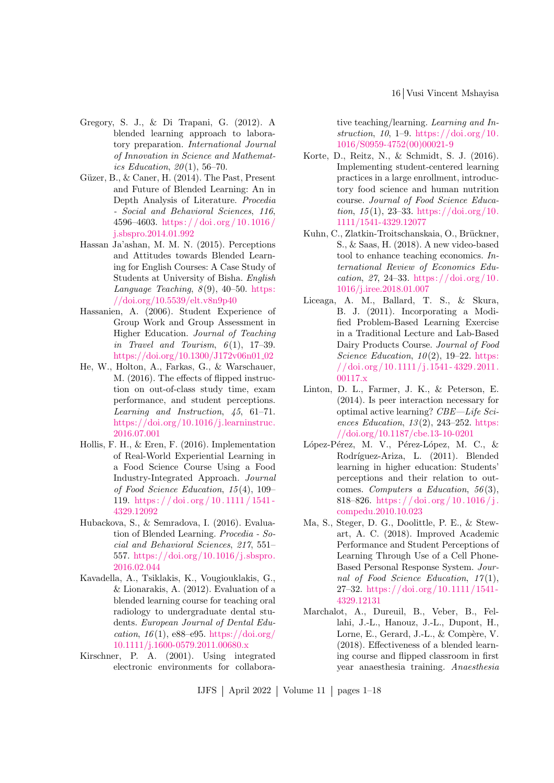- <span id="page-15-15"></span>Gregory, S. J., & Di Trapani, G. (2012). A blended learning approach to laboratory preparation. International Journal of Innovation in Science and Mathematics Education,  $20(1)$ , 56-70.
- <span id="page-15-7"></span>Güzer, B., & Caner, H. (2014). The Past, Present and Future of Blended Learning: An in Depth Analysis of Literature. Procedia - Social and Behavioral Sciences, 116, 4596–4603. [https: / / doi. org / 10. 1016 /](https://doi.org/10.1016/j.sbspro.2014.01.992) [j.sbspro.2014.01.992](https://doi.org/10.1016/j.sbspro.2014.01.992)
- <span id="page-15-13"></span>Hassan Ja'ashan, M. M. N. (2015). Perceptions and Attitudes towards Blended Learning for English Courses: A Case Study of Students at University of Bisha. English Language Teaching,  $8(9)$ ,  $40-50$ . [https:](https://doi.org/10.5539/elt.v8n9p40) [//doi.org/10.5539/elt.v8n9p40](https://doi.org/10.5539/elt.v8n9p40)
- <span id="page-15-12"></span>Hassanien, A. (2006). Student Experience of Group Work and Group Assessment in Higher Education. Journal of Teaching in Travel and Tourism,  $6(1)$ , 17-39. [https://doi.org/10.1300/J172v06n01](https://doi.org/10.1300/J172v06n01_02)\_02
- <span id="page-15-5"></span>He, W., Holton, A., Farkas, G., & Warschauer, M. (2016). The effects of flipped instruction on out-of-class study time, exam performance, and student perceptions. Learning and Instruction, 45, 61–71. [https://doi.org/10.1016/j.learninstruc.](https://doi.org/10.1016/j.learninstruc.2016.07.001) [2016.07.001](https://doi.org/10.1016/j.learninstruc.2016.07.001)
- <span id="page-15-10"></span>Hollis, F. H., & Eren, F. (2016). Implementation of Real-World Experiential Learning in a Food Science Course Using a Food Industry-Integrated Approach. Journal of Food Science Education, 15 (4), 109– 119. [https : / / doi . org / 10 . 1111 / 1541 -](https://doi.org/10.1111/1541-4329.12092) [4329.12092](https://doi.org/10.1111/1541-4329.12092)
- <span id="page-15-4"></span>Hubackova, S., & Semradova, I. (2016). Evaluation of Blended Learning. Procedia - Social and Behavioral Sciences, 217, 551– 557. [https://doi.org/10.1016/j.sbspro.](https://doi.org/10.1016/j.sbspro.2016.02.044) [2016.02.044](https://doi.org/10.1016/j.sbspro.2016.02.044)
- <span id="page-15-1"></span>Kavadella, A., Tsiklakis, K., Vougiouklakis, G., & Lionarakis, A. (2012). Evaluation of a blended learning course for teaching oral radiology to undergraduate dental students. European Journal of Dental Education,  $16(1)$ , e88–e95. [https://doi.org/](https://doi.org/10.1111/j.1600-0579.2011.00680.x) [10.1111/j.1600-0579.2011.00680.x](https://doi.org/10.1111/j.1600-0579.2011.00680.x)
- <span id="page-15-9"></span>Kirschner, P. A. (2001). Using integrated electronic environments for collabora-

tive teaching/learning. Learning and Instruction, 10, 1–9. [https://doi.org/10.](https://doi.org/10.1016/S0959-4752(00)00021-9) [1016/S0959-4752\(00\)00021-9](https://doi.org/10.1016/S0959-4752(00)00021-9)

- <span id="page-15-6"></span>Korte, D., Reitz, N., & Schmidt, S. J. (2016). Implementing student-centered learning practices in a large enrollment, introductory food science and human nutrition course. Journal of Food Science Education,  $15(1)$ , 23–33. [https://doi.org/10.](https://doi.org/10.1111/1541-4329.12077) [1111/1541-4329.12077](https://doi.org/10.1111/1541-4329.12077)
- <span id="page-15-14"></span>Kuhn, C., Zlatkin-Troitschanskaia, O., Brückner, S., & Saas, H. (2018). A new video-based tool to enhance teaching economics. International Review of Economics Education, 27, 24–33. [https://doi.org/10.](https://doi.org/10.1016/j.iree.2018.01.007) [1016/j.iree.2018.01.007](https://doi.org/10.1016/j.iree.2018.01.007)
- <span id="page-15-2"></span>Liceaga, A. M., Ballard, T. S., & Skura, B. J. (2011). Incorporating a Modified Problem-Based Learning Exercise in a Traditional Lecture and Lab-Based Dairy Products Course. Journal of Food Science Education,  $10(2)$ , 19–22. [https:](https://doi.org/10.1111/j.1541-4329.2011.00117.x)  $// doi.org/10.1111/j.1541-4329.2011.$ [00117.x](https://doi.org/10.1111/j.1541-4329.2011.00117.x)
- <span id="page-15-11"></span>Linton, D. L., Farmer, J. K., & Peterson, E. (2014). Is peer interaction necessary for optimal active learning? CBE—Life Sciences Education,  $13(2)$ ,  $243-252$ . [https:](https://doi.org/10.1187/cbe.13-10-0201) [//doi.org/10.1187/cbe.13-10-0201](https://doi.org/10.1187/cbe.13-10-0201)
- <span id="page-15-8"></span>López-Pérez, M. V., Pérez-López, M. C., & Rodríguez-Ariza, L. (2011). Blended learning in higher education: Students' perceptions and their relation to outcomes. Computers a Education, 56(3), 818–826. https://doi.org/10.1016/j. [compedu.2010.10.023](https://doi.org/10.1016/j.compedu.2010.10.023)
- <span id="page-15-0"></span>Ma, S., Steger, D. G., Doolittle, P. E., & Stewart, A. C. (2018). Improved Academic Performance and Student Perceptions of Learning Through Use of a Cell Phone-Based Personal Response System. Journal of Food Science Education,  $17(1)$ , 27–32. [https://doi.org/10.1111/1541 -](https://doi.org/10.1111/1541-4329.12131) [4329.12131](https://doi.org/10.1111/1541-4329.12131)
- <span id="page-15-3"></span>Marchalot, A., Dureuil, B., Veber, B., Fellahi, J.-L., Hanouz, J.-L., Dupont, H., Lorne, E., Gerard, J.-L., & Compère, V. (2018). Effectiveness of a blended learning course and flipped classroom in first year anaesthesia training. Anaesthesia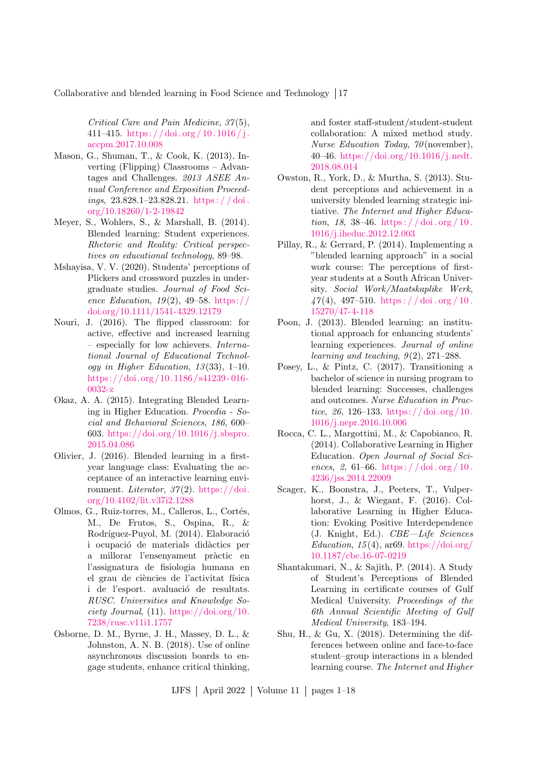Critical Care and Pain Medicine,  $37(5)$ , 411–415. https://doi.org/10.1016/j. [accpm.2017.10.008](https://doi.org/10.1016/j.accpm.2017.10.008)

- <span id="page-16-4"></span>Mason, G., Shuman, T., & Cook, K. (2013). Inverting (Flipping) Classrooms – Advantages and Challenges. 2013 ASEE Annual Conference and Exposition Proceedings,  $23.828.1 - 23.828.21$ . https://doi. [org/10.18260/1-2-19842](https://doi.org/10.18260/1-2-19842)
- <span id="page-16-1"></span>Meyer, S., Wohlers, S., & Marshall, B. (2014). Blended learning: Student experiences. Rhetoric and Reality: Critical perspectives on educational technology, 89–98.
- <span id="page-16-8"></span>Mshayisa, V. V. (2020). Students' perceptions of Plickers and crossword puzzles in undergraduate studies. Journal of Food Science Education,  $19(2)$ ,  $49-58$ . [https://](https://doi.org/10.1111/1541-4329.12179) [doi.org/10.1111/1541-4329.12179](https://doi.org/10.1111/1541-4329.12179)
- <span id="page-16-5"></span>Nouri, J. (2016). The flipped classroom: for active, effective and increased learning – especially for low achievers. International Journal of Educational Technology in Higher Education, 13 (33), 1–10. [https: / /doi. org / 10. 1186 / s41239 - 016 -](https://doi.org/10.1186/s41239-016-0032-z) [0032-z](https://doi.org/10.1186/s41239-016-0032-z)
- <span id="page-16-2"></span>Okaz, A. A. (2015). Integrating Blended Learning in Higher Education. Procedia - Social and Behavioral Sciences, 186, 600– 603. [https://doi.org/10.1016/j.sbspro.](https://doi.org/10.1016/j.sbspro.2015.04.086) [2015.04.086](https://doi.org/10.1016/j.sbspro.2015.04.086)
- <span id="page-16-12"></span>Olivier, J. (2016). Blended learning in a firstyear language class: Evaluating the acceptance of an interactive learning environment. Literator,  $37(2)$ . [https://doi.](https://doi.org/10.4102/lit.v37i2.1288) [org/10.4102/lit.v37i2.1288](https://doi.org/10.4102/lit.v37i2.1288)
- <span id="page-16-6"></span>Olmos, G., Ruiz-torres, M., Calleros, L., Cortés, M., De Frutos, S., Ospina, R., & Rodríguez-Puyol, M. (2014). Elaboració i ocupació de materials didàctics per a millorar l'ensenyament pràctic en l'assignatura de fisiologia humana en el grau de ciències de l'activitat física i de l'esport. avaluació de resultats. RUSC. Universities and Knowledge Society Journal, (11). [https://doi.org/10.](https://doi.org/10.7238/rusc.v11i1.1757) [7238/rusc.v11i1.1757](https://doi.org/10.7238/rusc.v11i1.1757)
- <span id="page-16-9"></span>Osborne, D. M., Byrne, J. H., Massey, D. L., & Johnston, A. N. B. (2018). Use of online asynchronous discussion boards to engage students, enhance critical thinking,

and foster staff-student/student-student collaboration: A mixed method study. Nurse Education Today, 70 (november), 40–46. [https://doi.org/10.1016/j.nedt.](https://doi.org/10.1016/j.nedt.2018.08.014) [2018.08.014](https://doi.org/10.1016/j.nedt.2018.08.014)

- <span id="page-16-10"></span>Owston, R., York, D., & Murtha, S. (2013). Student perceptions and achievement in a university blended learning strategic initiative. The Internet and Higher Education, 18, 38–46. https://doi.org/10. [1016/j.iheduc.2012.12.003](https://doi.org/10.1016/j.iheduc.2012.12.003)
- <span id="page-16-0"></span>Pillay, R., & Gerrard, P. (2014). Implementing a "blended learning approach" in a social work course: The perceptions of firstyear students at a South African University. Social Work/Maatskaplike Werk,  $47(4)$ , 497-510. https://doi.org/10. [15270/47-4-118](https://doi.org/10.15270/47-4-118)
- <span id="page-16-3"></span>Poon, J. (2013). Blended learning: an institutional approach for enhancing students' learning experiences. Journal of online learning and teaching,  $9(2)$ ,  $271-288$ .
- <span id="page-16-11"></span>Posey, L., & Pintz, C. (2017). Transitioning a bachelor of science in nursing program to blended learning: Successes, challenges and outcomes. Nurse Education in Practice, 26, 126–133. https://doi.org/10. [1016/j.nepr.2016.10.006](https://doi.org/10.1016/j.nepr.2016.10.006)
- <span id="page-16-13"></span>Rocca, C. L., Margottini, M., & Capobianco, R. (2014). Collaborative Learning in Higher Education. Open Journal of Social Sciences, 2, 61–66. https://doi.org/10. [4236/jss.2014.22009](https://doi.org/10.4236/jss.2014.22009)
- <span id="page-16-7"></span>Scager, K., Boonstra, J., Peeters, T., Vulperhorst, J., & Wiegant, F. (2016). Collaborative Learning in Higher Education: Evoking Positive Interdependence (J. Knight, Ed.). CBE—Life Sciences Education,  $15(4)$ , ar69. [https://doi.org/](https://doi.org/10.1187/cbe.16-07-0219) [10.1187/cbe.16-07-0219](https://doi.org/10.1187/cbe.16-07-0219)
- <span id="page-16-15"></span>Shantakumari, N., & Sajith, P. (2014). A Study of Student's Perceptions of Blended Learning in certificate courses of Gulf Medical University. Proceedings of the 6th Annual Scientific Meeting of Gulf Medical University, 183–194.
- <span id="page-16-14"></span>Shu, H., & Gu, X. (2018). Determining the differences between online and face-to-face student–group interactions in a blended learning course. The Internet and Higher